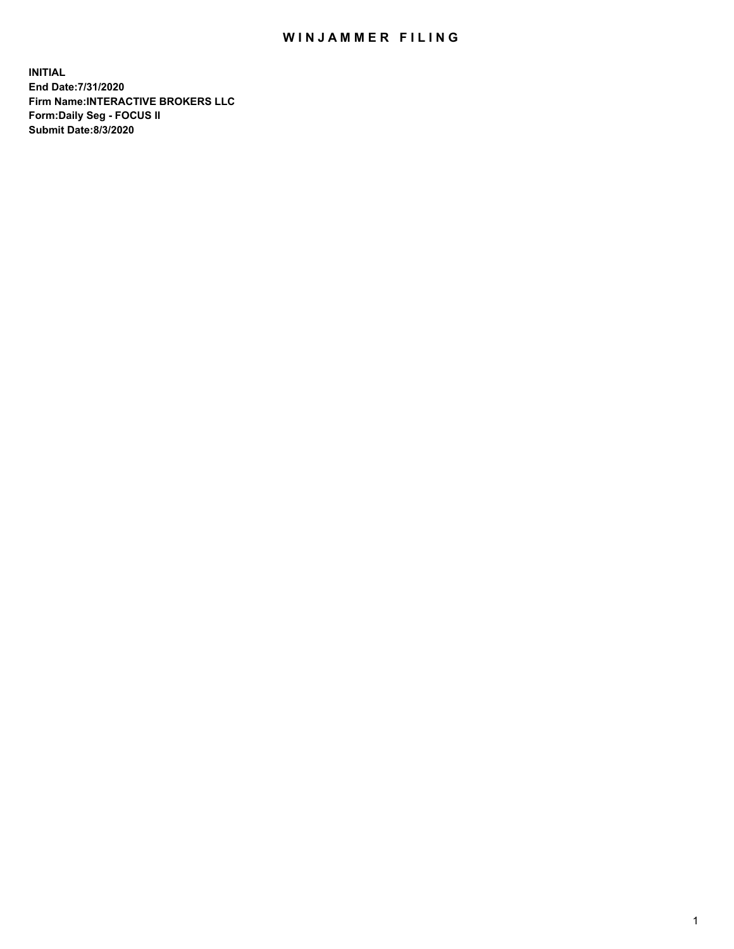## WIN JAMMER FILING

**INITIAL End Date:7/31/2020 Firm Name:INTERACTIVE BROKERS LLC Form:Daily Seg - FOCUS II Submit Date:8/3/2020**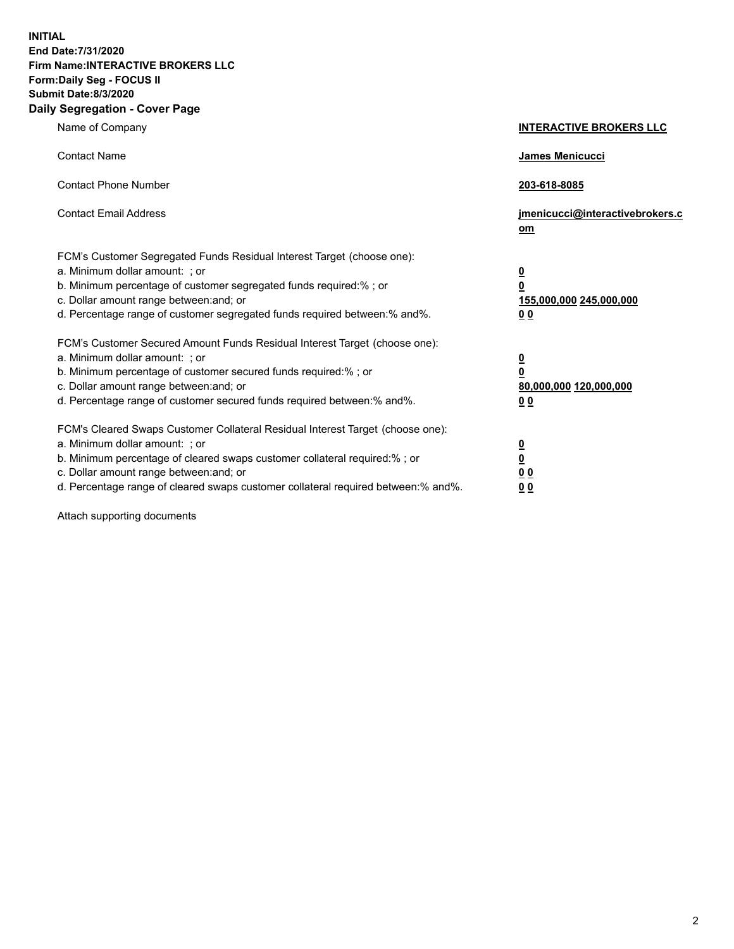**INITIAL End Date:7/31/2020 Firm Name:INTERACTIVE BROKERS LLC Form:Daily Seg - FOCUS II Submit Date:8/3/2020 Daily Segregation - Cover Page**

| Name of Company                                                                                                                                                                                                                                                                                                                | <b>INTERACTIVE BROKERS LLC</b>                                                      |
|--------------------------------------------------------------------------------------------------------------------------------------------------------------------------------------------------------------------------------------------------------------------------------------------------------------------------------|-------------------------------------------------------------------------------------|
| <b>Contact Name</b>                                                                                                                                                                                                                                                                                                            | James Menicucci                                                                     |
| <b>Contact Phone Number</b>                                                                                                                                                                                                                                                                                                    | 203-618-8085                                                                        |
| <b>Contact Email Address</b>                                                                                                                                                                                                                                                                                                   | jmenicucci@interactivebrokers.c<br>om                                               |
| FCM's Customer Segregated Funds Residual Interest Target (choose one):<br>a. Minimum dollar amount: : or<br>b. Minimum percentage of customer segregated funds required:% ; or<br>c. Dollar amount range between: and; or<br>d. Percentage range of customer segregated funds required between:% and%.                         | $\overline{\mathbf{0}}$<br>$\overline{\mathbf{0}}$<br>155,000,000 245,000,000<br>00 |
| FCM's Customer Secured Amount Funds Residual Interest Target (choose one):<br>a. Minimum dollar amount: ; or<br>b. Minimum percentage of customer secured funds required:% ; or<br>c. Dollar amount range between: and; or<br>d. Percentage range of customer secured funds required between:% and%.                           | $\overline{\mathbf{0}}$<br>0<br>80,000,000 120,000,000<br>0 <sub>0</sub>            |
| FCM's Cleared Swaps Customer Collateral Residual Interest Target (choose one):<br>a. Minimum dollar amount: ; or<br>b. Minimum percentage of cleared swaps customer collateral required:% ; or<br>c. Dollar amount range between: and; or<br>d. Percentage range of cleared swaps customer collateral required between:% and%. | <u>0</u><br><u>0</u><br>0 <sub>0</sub><br>0 <sub>0</sub>                            |

Attach supporting documents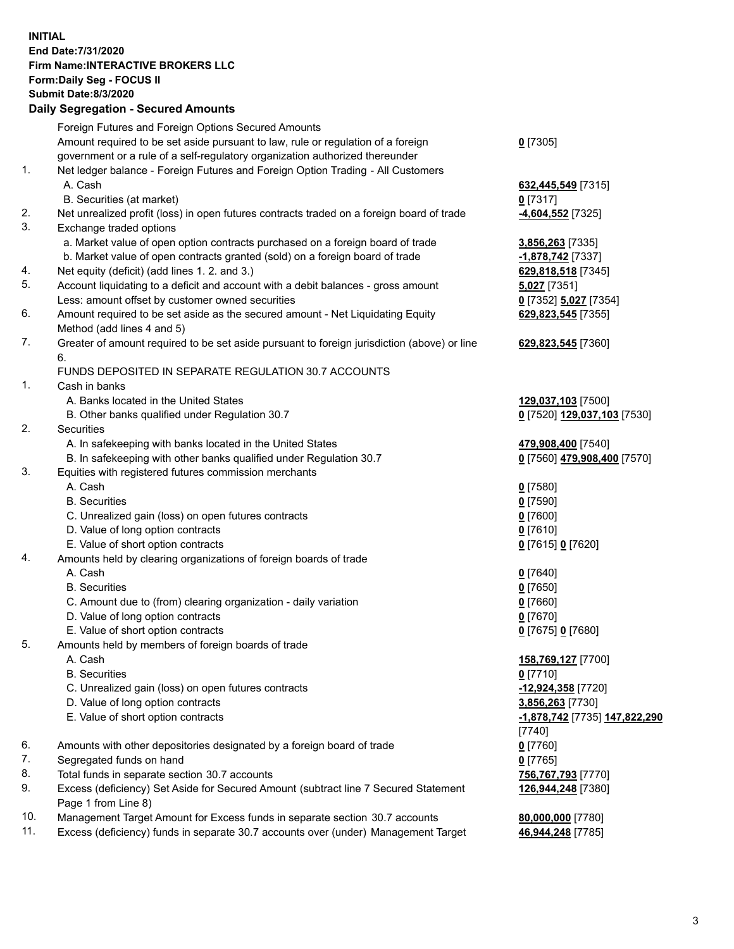**INITIAL End Date:7/31/2020 Firm Name:INTERACTIVE BROKERS LLC Form:Daily Seg - FOCUS II Submit Date:8/3/2020 Daily Segregation - Secured Amounts**

|     | Dany Ocgregation - Oceanea Anioanta                                                         |                               |
|-----|---------------------------------------------------------------------------------------------|-------------------------------|
|     | Foreign Futures and Foreign Options Secured Amounts                                         |                               |
|     | Amount required to be set aside pursuant to law, rule or regulation of a foreign            | $0$ [7305]                    |
|     | government or a rule of a self-regulatory organization authorized thereunder                |                               |
| 1.  | Net ledger balance - Foreign Futures and Foreign Option Trading - All Customers             |                               |
|     | A. Cash                                                                                     | 632,445,549 [7315]            |
|     | B. Securities (at market)                                                                   | $0$ [7317]                    |
| 2.  | Net unrealized profit (loss) in open futures contracts traded on a foreign board of trade   | -4,604,552 <sup>[7325]</sup>  |
| 3.  | Exchange traded options                                                                     |                               |
|     | a. Market value of open option contracts purchased on a foreign board of trade              | 3,856,263 [7335]              |
|     | b. Market value of open contracts granted (sold) on a foreign board of trade                | -1,878,742 [7337]             |
| 4.  | Net equity (deficit) (add lines 1. 2. and 3.)                                               | 629,818,518 [7345]            |
| 5.  | Account liquidating to a deficit and account with a debit balances - gross amount           | 5,027 [7351]                  |
|     | Less: amount offset by customer owned securities                                            | 0 [7352] 5,027 [7354]         |
| 6.  | Amount required to be set aside as the secured amount - Net Liquidating Equity              | 629,823,545 [7355]            |
|     | Method (add lines 4 and 5)                                                                  |                               |
| 7.  | Greater of amount required to be set aside pursuant to foreign jurisdiction (above) or line | 629,823,545 [7360]            |
|     | 6.                                                                                          |                               |
|     | FUNDS DEPOSITED IN SEPARATE REGULATION 30.7 ACCOUNTS                                        |                               |
| 1.  | Cash in banks                                                                               |                               |
|     | A. Banks located in the United States                                                       | 129,037,103 [7500]            |
|     | B. Other banks qualified under Regulation 30.7                                              | 0 [7520] 129,037,103 [7530]   |
| 2.  | Securities                                                                                  |                               |
|     | A. In safekeeping with banks located in the United States                                   | 479,908,400 [7540]            |
|     | B. In safekeeping with other banks qualified under Regulation 30.7                          | 0 [7560] 479,908,400 [7570]   |
| 3.  | Equities with registered futures commission merchants                                       |                               |
|     | A. Cash                                                                                     | $0$ [7580]                    |
|     | <b>B.</b> Securities                                                                        | $0$ [7590]                    |
|     | C. Unrealized gain (loss) on open futures contracts                                         | $0$ [7600]                    |
|     | D. Value of long option contracts                                                           | $0$ [7610]                    |
|     | E. Value of short option contracts                                                          | 0 [7615] 0 [7620]             |
| 4.  | Amounts held by clearing organizations of foreign boards of trade                           |                               |
|     | A. Cash                                                                                     | $0$ [7640]                    |
|     | <b>B.</b> Securities                                                                        | $0$ [7650]                    |
|     | C. Amount due to (from) clearing organization - daily variation                             | $0$ [7660]                    |
|     | D. Value of long option contracts                                                           | $0$ [7670]                    |
|     | E. Value of short option contracts                                                          | 0 [7675] 0 [7680]             |
| 5.  | Amounts held by members of foreign boards of trade                                          |                               |
|     | A. Cash                                                                                     | 158,769,127 [7700]            |
|     | <b>B.</b> Securities                                                                        | $0$ [7710]                    |
|     | C. Unrealized gain (loss) on open futures contracts                                         | -12,924,358 [7720]            |
|     | D. Value of long option contracts                                                           | 3,856,263 [7730]              |
|     | E. Value of short option contracts                                                          | -1,878,742 [7735] 147,822,290 |
|     |                                                                                             | [7740]                        |
| 6.  | Amounts with other depositories designated by a foreign board of trade                      | $0$ [7760]                    |
| 7.  | Segregated funds on hand                                                                    | $0$ [7765]                    |
| 8.  | Total funds in separate section 30.7 accounts                                               | 756,767,793 [7770]            |
| 9.  | Excess (deficiency) Set Aside for Secured Amount (subtract line 7 Secured Statement         | 126,944,248 [7380]            |
|     | Page 1 from Line 8)                                                                         |                               |
| 10. | Management Target Amount for Excess funds in separate section 30.7 accounts                 | 80,000,000 [7780]             |
| 11. | Excess (deficiency) funds in separate 30.7 accounts over (under) Management Target          | 46,944,248 [7785]             |
|     |                                                                                             |                               |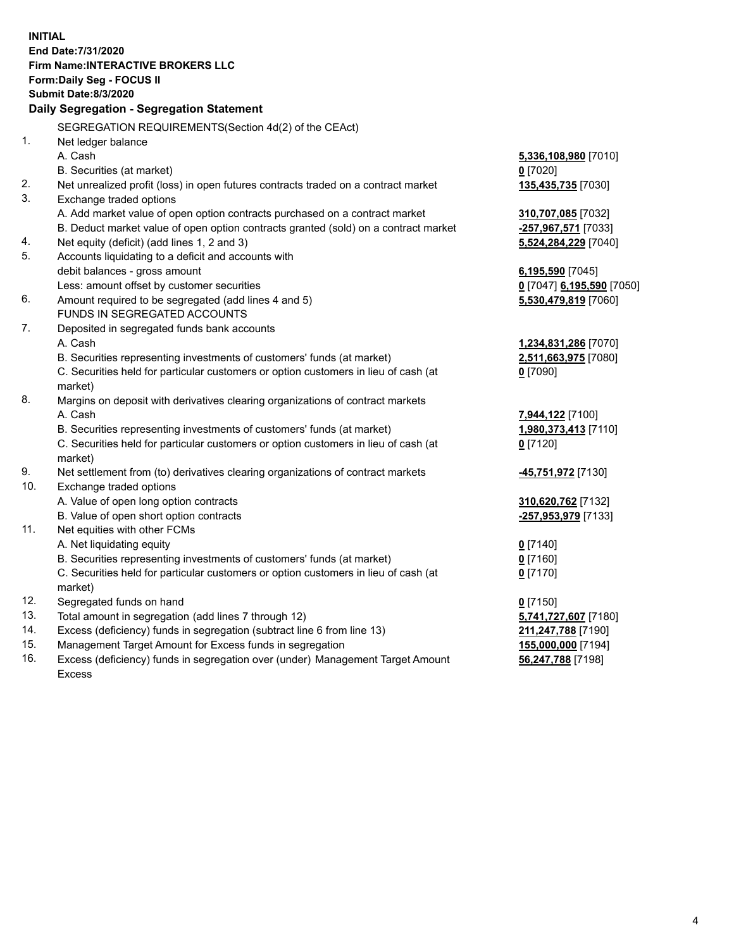**INITIAL End Date:7/31/2020 Firm Name:INTERACTIVE BROKERS LLC Form:Daily Seg - FOCUS II Submit Date:8/3/2020 Daily Segregation - Segregation Statement** SEGREGATION REQUIREMENTS(Section 4d(2) of the CEAct) 1. Net ledger balance A. Cash **5,336,108,980** [7010] B. Securities (at market) **0** [7020] 2. Net unrealized profit (loss) in open futures contracts traded on a contract market **135,435,735** [7030] 3. Exchange traded options A. Add market value of open option contracts purchased on a contract market **310,707,085** [7032] B. Deduct market value of open option contracts granted (sold) on a contract market **-257,967,571** [7033] 4. Net equity (deficit) (add lines 1, 2 and 3) **5,524,284,229** [7040] 5. Accounts liquidating to a deficit and accounts with debit balances - gross amount **6,195,590** [7045] Less: amount offset by customer securities **0** [7047] **6,195,590** [7050] 6. Amount required to be segregated (add lines 4 and 5) **5,530,479,819** [7060] FUNDS IN SEGREGATED ACCOUNTS 7. Deposited in segregated funds bank accounts A. Cash **1,234,831,286** [7070] B. Securities representing investments of customers' funds (at market) **2,511,663,975** [7080] C. Securities held for particular customers or option customers in lieu of cash (at market) **0** [7090] 8. Margins on deposit with derivatives clearing organizations of contract markets A. Cash **7,944,122** [7100] B. Securities representing investments of customers' funds (at market) **1,980,373,413** [7110] C. Securities held for particular customers or option customers in lieu of cash (at market) **0** [7120] 9. Net settlement from (to) derivatives clearing organizations of contract markets **-45,751,972** [7130] 10. Exchange traded options A. Value of open long option contracts **310,620,762** [7132] B. Value of open short option contracts **-257,953,979** [7133] 11. Net equities with other FCMs A. Net liquidating equity **0** [7140] B. Securities representing investments of customers' funds (at market) **0** [7160] C. Securities held for particular customers or option customers in lieu of cash (at market) **0** [7170] 12. Segregated funds on hand **0** [7150] 13. Total amount in segregation (add lines 7 through 12) **5,741,727,607** [7180] 14. Excess (deficiency) funds in segregation (subtract line 6 from line 13) **211,247,788** [7190] 15. Management Target Amount for Excess funds in segregation **155,000,000** [7194] 16. Excess (deficiency) funds in segregation over (under) Management Target Amount **56,247,788** [7198]

Excess